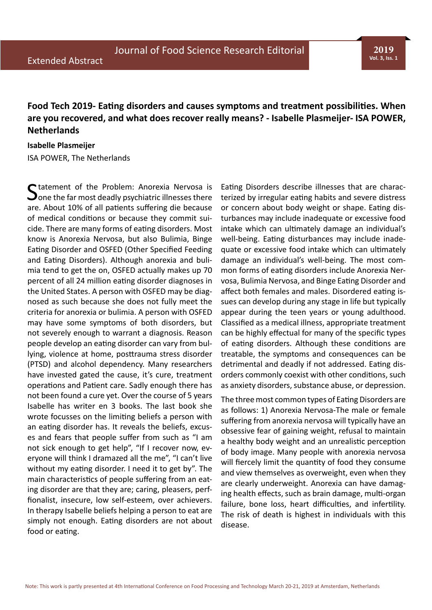## **Food Tech 2019- Eating disorders and causes symptoms and treatment possibilities. When are you recovered, and what does recover really means? - Isabelle Plasmeijer- ISA POWER, Netherlands**

## **Isabelle Plasmeijer** ISA POWER, The Netherlands

C tatement of the Problem: Anorexia Nervosa is  $\bigcup$  one the far most deadly psychiatric illnesses there are. About 10% of all patients suffering die because of medical conditions or because they commit suicide. There are many forms of eating disorders. Most know is Anorexia Nervosa, but also Bulimia, Binge Eating Disorder and OSFED (Other Specified Feeding and Eating Disorders). Although anorexia and bulimia tend to get the on, OSFED actually makes up 70 percent of all 24 million eating disorder diagnoses in the United States. A person with OSFED may be diagnosed as such because she does not fully meet the criteria for anorexia or bulimia. A person with OSFED may have some symptoms of both disorders, but not severely enough to warrant a diagnosis. Reason people develop an eating disorder can vary from bullying, violence at home, posttrauma stress disorder (PTSD) and alcohol dependency. Many researchers have invested gated the cause, it's cure, treatment operations and Patient care. Sadly enough there has not been found a cure yet. Over the course of 5 years Isabelle has writer en 3 books. The last book she wrote focusses on the limiting beliefs a person with an eating disorder has. It reveals the beliefs, excuses and fears that people suffer from such as "I am not sick enough to get help", "If I recover now, everyone will think I dramazed all the me", "I can't live without my eating disorder. I need it to get by". The main characteristics of people suffering from an eating disorder are that they are; caring, pleasers, perffionalist, insecure, low self-esteem, over achievers. In therapy Isabelle beliefs helping a person to eat are simply not enough. Eating disorders are not about food or eating.

Eating Disorders describe illnesses that are characterized by irregular eating habits and severe distress or concern about body weight or shape. Eating disturbances may include inadequate or excessive food intake which can ultimately damage an individual's well-being. Eating disturbances may include inadequate or excessive food intake which can ultimately damage an individual's well-being. The most common forms of eating disorders include Anorexia Nervosa, Bulimia Nervosa, and Binge Eating Disorder and affect both females and males. Disordered eating issues can develop during any stage in life but typically appear during the teen years or young adulthood. Classified as a medical illness, appropriate treatment can be highly effectual for many of the specific types of eating disorders. Although these conditions are treatable, the symptoms and consequences can be detrimental and deadly if not addressed. Eating disorders commonly coexist with other conditions, such as anxiety disorders, substance abuse, or depression.

The three most common types of Eating Disorders are as follows: 1) Anorexia Nervosa-The male or female suffering from anorexia nervosa will typically have an obsessive fear of gaining weight, refusal to maintain a healthy body weight and an unrealistic perception of body image. Many people with anorexia nervosa will fiercely limit the quantity of food they consume and view themselves as overweight, even when they are clearly underweight. Anorexia can have damaging health effects, such as brain damage, multi-organ failure, bone loss, heart difficulties, and infertility. The risk of death is highest in individuals with this disease.